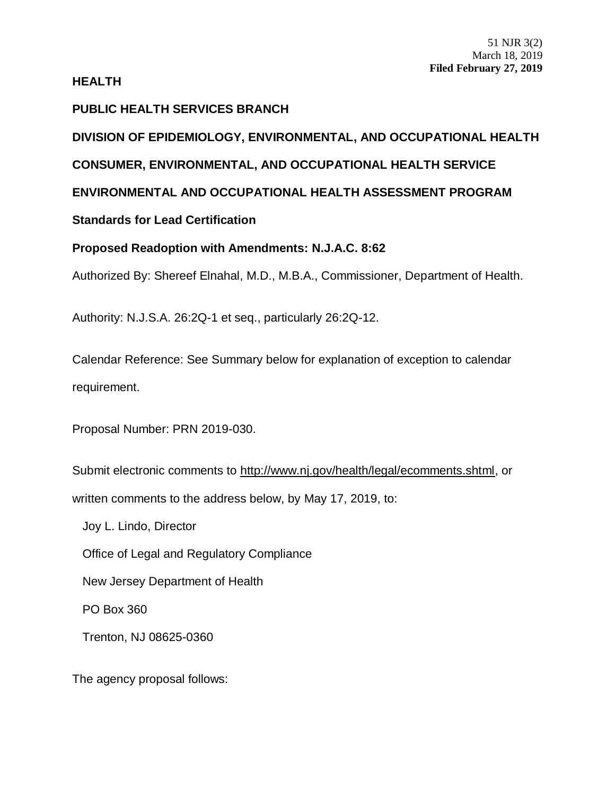### **HEALTH**

# **PUBLIC HEALTH SERVICES BRANCH**

**DIVISION OF EPIDEMIOLOGY, ENVIRONMENTAL, AND OCCUPATIONAL HEALTH CONSUMER, ENVIRONMENTAL, AND OCCUPATIONAL HEALTH SERVICE ENVIRONMENTAL AND OCCUPATIONAL HEALTH ASSESSMENT PROGRAM**

**Standards for Lead Certification**

**Proposed Readoption with Amendments: [N.J.A.C. 8:62](https://advance.lexis.com/document/?pdmfid=1000516&crid=0969eb5b-757c-416c-a185-d45ae0db2859&pddocfullpath=%2Fshared%2Fdocument%2Fadministrative-codes%2Furn%3AcontentItem%3A525T-2860-02CX-732B-00000-00&pddocid=urn%3AcontentItem%3A525T-2860-02CX-732B-00000-00&pdcontentcomponentid=272167&pdteaserkey=sr0&pditab=allpods&ecomp=dy_fk&earg=sr0&prid=321f6432-cf8d-42ac-8381-ff8b648555bf)**

Authorized By: Shereef Elnahal, M.D., M.B.A., Commissioner, Department of Health.

Authority: N.J.S.A. 26:2Q-1 et seq., particularly 26:2Q-12.

Calendar Reference: See Summary below for explanation of exception to calendar requirement.

Proposal Number: PRN 2019-030.

Submit electronic comments to http://www.nj.gov/health/legal/ecomments.shtml, or written comments to the address below, by May 17, 2019, to:

Joy L. Lindo, Director

Office of Legal and Regulatory Compliance

New Jersey Department of Health

PO Box 360

Trenton, NJ 08625-0360

The agency proposal follows: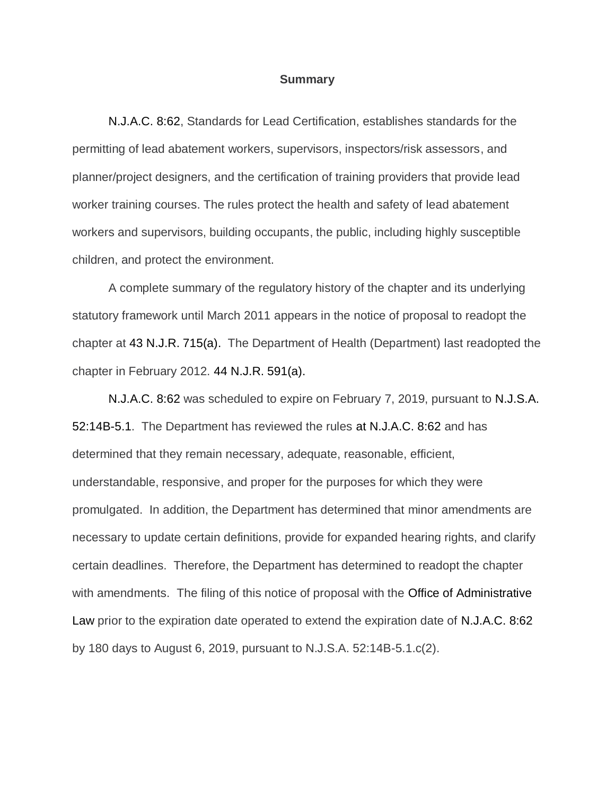#### **Summary**

N.J.A.C. 8:62, Standards for Lead Certification, establishes standards for the permitting of lead abatement workers, supervisors, inspectors/risk assessors, and planner/project designers, and the certification of training providers that provide lead worker training courses. The rules protect the health and safety of lead abatement workers and supervisors, building occupants, the public, including highly susceptible children, and protect the environment.

A complete summary of the regulatory history of the chapter and its underlying statutory framework until March 2011 appears in the notice of proposal to readopt the chapter at 43 N.J.R. 715(a). The Department of Health (Department) last readopted the chapter in February 2012. 44 N.J.R. 591(a).

N.J.A.C. 8:62 was scheduled to expire on February 7, 2019, pursuant to N.J.S.A. 52:14B-5.1. The Department has reviewed the rules at N.J.A.C. 8:62 and has determined that they remain necessary, adequate, reasonable, efficient, understandable, responsive, and proper for the purposes for which they were promulgated. In addition, the Department has determined that minor amendments are necessary to update certain definitions, provide for expanded hearing rights, and clarify certain deadlines. Therefore, the Department has determined to readopt the chapter with amendments. The filing of this notice of proposal with the Office of Administrative Law prior to the expiration date operated to extend the expiration date of N.J.A.C. 8:62 by 180 days to August 6, 2019, pursuant to N.J.S.A. 52:14B-5.1.c(2).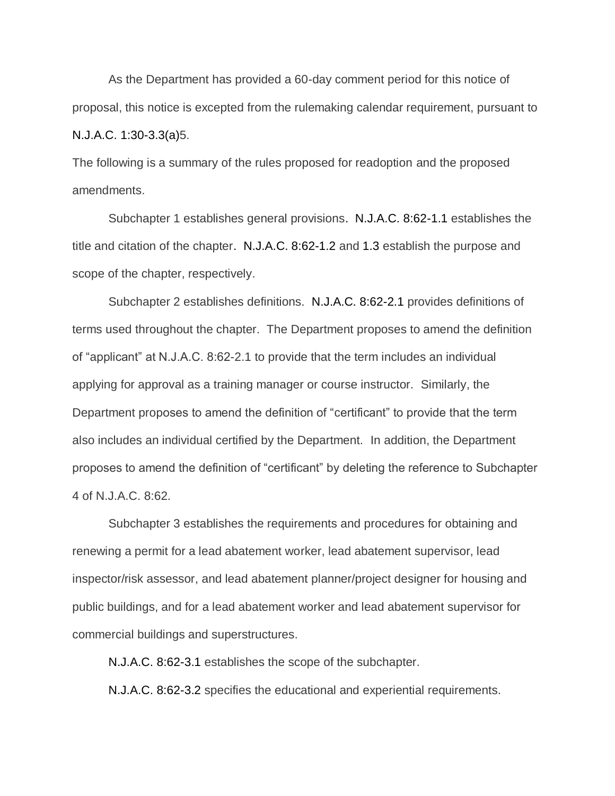As the Department has provided a 60-day comment period for this notice of proposal, this notice is excepted from the rulemaking calendar requirement, pursuant to N.J.A.C. 1:30-3.3(a)5.

The following is a summary of the rules proposed for readoption and the proposed amendments.

Subchapter 1 establishes general provisions. N.J.A.C. 8:62-1.1 establishes the title and citation of the chapter. N.J.A.C. 8:62-1.2 and [1.3](https://advance.lexis.com/document/?pdmfid=1000516&crid=2988387a-9392-45e5-a0e1-8e997756af21&pddocfullpath=%2Fshared%2Fdocument%2Fadministrative-codes%2Furn%3AcontentItem%3A52CS-1500-02CX-735N-00000-00&pddocid=urn%3AcontentItem%3A52CS-1500-02CX-735N-00000-00&pdcontentcomponentid=272167&pdteaserkey=sr0&pditab=allpods&ecomp=byvLk&earg=sr0&prid=3a8db2ea-c0a5-4135-9c7d-51d7024b424b) establish the purpose and scope of the chapter, respectively.

Subchapter 2 establishes definitions. [N.J.A.C. 8:62-2.1](https://advance.lexis.com/document/?pdmfid=1000516&crid=2988387a-9392-45e5-a0e1-8e997756af21&pddocfullpath=%2Fshared%2Fdocument%2Fadministrative-codes%2Furn%3AcontentItem%3A52CS-1500-02CX-735N-00000-00&pddocid=urn%3AcontentItem%3A52CS-1500-02CX-735N-00000-00&pdcontentcomponentid=272167&pdteaserkey=sr0&pditab=allpods&ecomp=byvLk&earg=sr0&prid=3a8db2ea-c0a5-4135-9c7d-51d7024b424b) provides definitions of terms used throughout the chapter. The Department proposes to amend the definition of "applicant" at N.J.A.C. 8:62-2.1 to provide that the term includes an individual applying for approval as a training manager or course instructor. Similarly, the Department proposes to amend the definition of "certificant" to provide that the term also includes an individual certified by the Department. In addition, the Department proposes to amend the definition of "certificant" by deleting the reference to Subchapter 4 of N.J.A.C. 8:62.

Subchapter 3 establishes the requirements and procedures for obtaining and renewing a permit for a lead abatement worker, lead abatement supervisor, lead inspector/risk assessor, and lead abatement planner/project designer for housing and public buildings, and for a lead abatement worker and lead abatement supervisor for commercial buildings and superstructures.

N.J.A.C. 8:62-3.1 establishes the scope of the subchapter.

N.J.A.C. 8:62-3.2 specifies the educational and experiential requirements.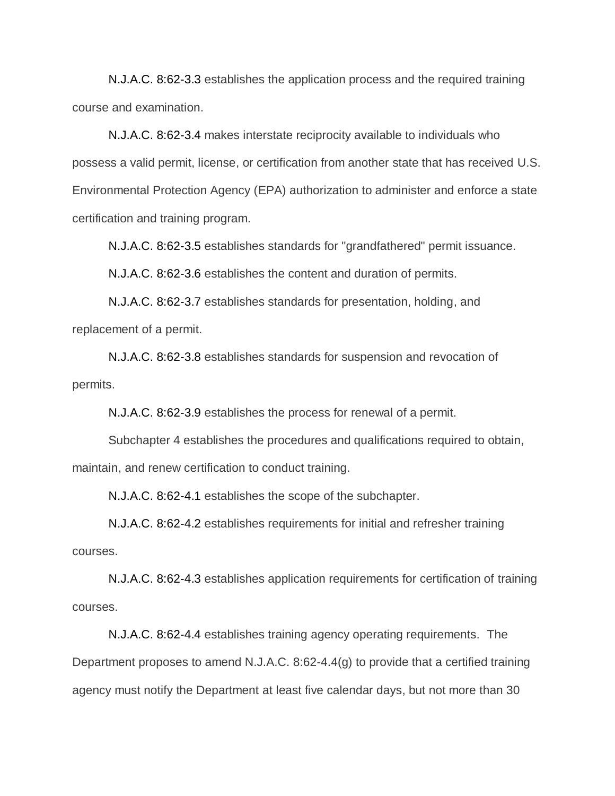N.J.A.C. 8:62-3.3 establishes the application process and the required training course and examination.

N.J.A.C. 8:62-3.4 makes interstate reciprocity available to individuals who possess a valid permit, license, or certification from another state that has received U.S. Environmental Protection Agency (EPA) authorization to administer and enforce a state certification and training program.

N.J.A.C. 8:62-3.5 establishes standards for "grandfathered" permit issuance.

N.J.A.C. 8:62-3.6 establishes the content and duration of permits.

N.J.A.C. 8:62-3.7 establishes standards for presentation, holding, and replacement of a permit.

N.J.A.C. 8:62-3.8 establishes standards for suspension and revocation of permits.

N.J.A.C. 8:62-3.9 establishes the process for renewal of a permit.

Subchapter 4 establishes the procedures and qualifications required to obtain, maintain, and renew certification to conduct training.

N.J.A.C. 8:62-4.1 establishes the scope of the subchapter.

N.J.A.C. 8:62-4.2 establishes requirements for initial and refresher training courses.

N.J.A.C. 8:62-4.3 establishes application requirements for certification of training courses.

N.J.A.C. 8:62-4.4 establishes training agency operating requirements. The Department proposes to amend N.J.A.C. 8:62-4.4(g) to provide that a certified training agency must notify the Department at least five calendar days, but not more than 30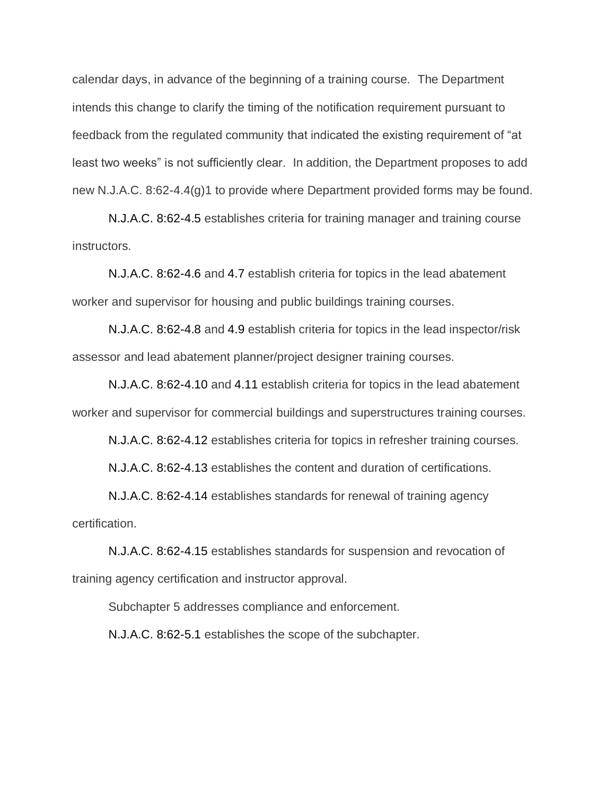calendar days, in advance of the beginning of a training course. The Department intends this change to clarify the timing of the notification requirement pursuant to feedback from the regulated community that indicated the existing requirement of "at least two weeks" is not sufficiently clear. In addition, the Department proposes to add new N.J.A.C. 8:62-4.4(g)1 to provide where Department provided forms may be found.

N.J.A.C. 8:62-4.5 establishes criteria for training manager and training course instructors.

N.J.A.C. 8:62-4.6 and 4.7 establish criteria for topics in the lead abatement worker and supervisor for housing and public buildings training courses.

N.J.A.C. 8:62-4.8 and 4.9 establish criteria for topics in the lead inspector/risk assessor and lead abatement planner/project designer training courses.

N.J.A.C. 8:62-4.10 and 4.11 establish criteria for topics in the lead abatement worker and supervisor for commercial buildings and superstructures training courses.

N.J.A.C. 8:62-4.12 establishes criteria for topics in refresher training courses.

N.J.A.C. 8:62-4.13 establishes the content and duration of certifications.

N.J.A.C. 8:62-4.14 establishes standards for renewal of training agency certification.

N.J.A.C. 8:62-4.15 establishes standards for suspension and revocation of training agency certification and instructor approval.

Subchapter 5 addresses compliance and enforcement.

N.J.A.C. 8:62-5.1 establishes the scope of the subchapter.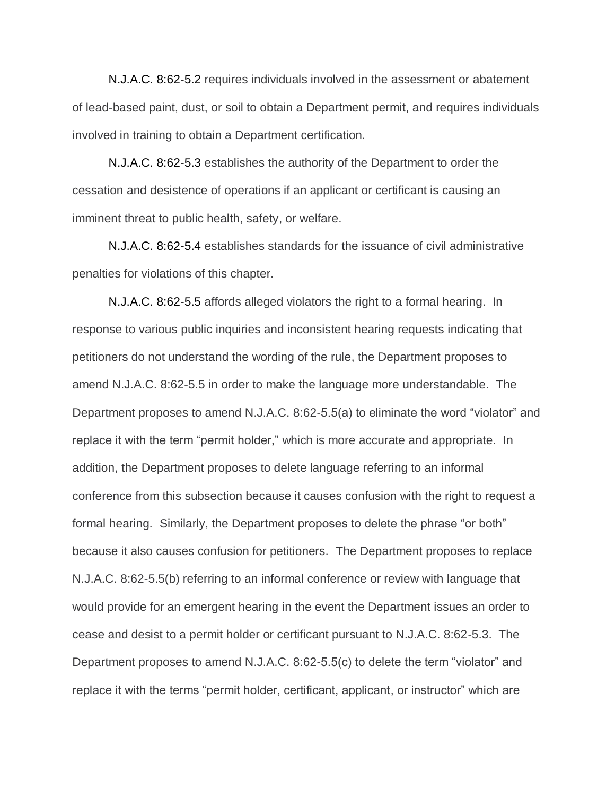N.J.A.C. 8:62-5.2 requires individuals involved in the assessment or abatement of lead-based paint, dust, or soil to obtain a Department permit, and requires individuals involved in training to obtain a Department certification.

N.J.A.C. 8:62-5.3 establishes the authority of the Department to order the cessation and desistence of operations if an applicant or certificant is causing an imminent threat to public health, safety, or welfare.

N.J.A.C. 8:62-5.4 establishes standards for the issuance of civil administrative penalties for violations of this chapter.

N.J.A.C. 8:62-5.5 affords alleged violators the right to a formal hearing. In response to various public inquiries and inconsistent hearing requests indicating that petitioners do not understand the wording of the rule, the Department proposes to amend N.J.A.C. 8:62-5.5 in order to make the language more understandable. The Department proposes to amend N.J.A.C. 8:62-5.5(a) to eliminate the word "violator" and replace it with the term "permit holder," which is more accurate and appropriate. In addition, the Department proposes to delete language referring to an informal conference from this subsection because it causes confusion with the right to request a formal hearing. Similarly, the Department proposes to delete the phrase "or both" because it also causes confusion for petitioners. The Department proposes to replace N.J.A.C. 8:62-5.5(b) referring to an informal conference or review with language that would provide for an emergent hearing in the event the Department issues an order to cease and desist to a permit holder or certificant pursuant to N.J.A.C. 8:62-5.3. The Department proposes to amend N.J.A.C. 8:62-5.5(c) to delete the term "violator" and replace it with the terms "permit holder, certificant, applicant, or instructor" which are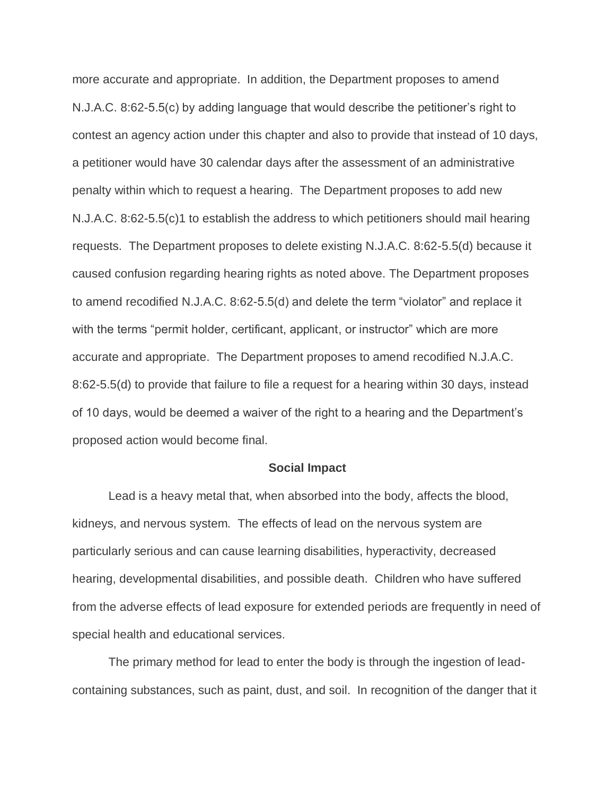more accurate and appropriate. In addition, the Department proposes to amend N.J.A.C. 8:62-5.5(c) by adding language that would describe the petitioner's right to contest an agency action under this chapter and also to provide that instead of 10 days, a petitioner would have 30 calendar days after the assessment of an administrative penalty within which to request a hearing. The Department proposes to add new N.J.A.C. 8:62-5.5(c)1 to establish the address to which petitioners should mail hearing requests. The Department proposes to delete existing N.J.A.C. 8:62-5.5(d) because it caused confusion regarding hearing rights as noted above. The Department proposes to amend recodified N.J.A.C. 8:62-5.5(d) and delete the term "violator" and replace it with the terms "permit holder, certificant, applicant, or instructor" which are more accurate and appropriate. The Department proposes to amend recodified N.J.A.C. 8:62-5.5(d) to provide that failure to file a request for a hearing within 30 days, instead of 10 days, would be deemed a waiver of the right to a hearing and the Department's proposed action would become final.

#### **Social Impact**

Lead is a heavy metal that, when absorbed into the body, affects the blood, kidneys, and nervous system. The effects of lead on the nervous system are particularly serious and can cause learning disabilities, hyperactivity, decreased hearing, developmental disabilities, and possible death. Children who have suffered from the adverse effects of lead exposure for extended periods are frequently in need of special health and educational services.

The primary method for lead to enter the body is through the ingestion of leadcontaining substances, such as paint, dust, and soil. In recognition of the danger that it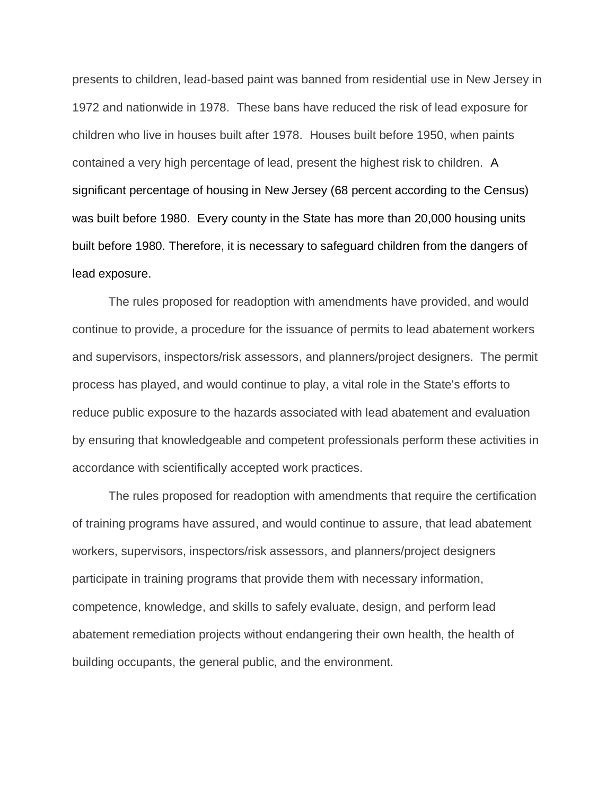presents to children, lead-based paint was banned from residential use in New Jersey in 1972 and nationwide in 1978. These bans have reduced the risk of lead exposure for children who live in houses built after 1978. Houses built before 1950, when paints contained a very high percentage of lead, present the highest risk to children. A significant percentage of housing in New Jersey (68 percent according to the Census) was built before 1980. Every county in the State has more than 20,000 housing units built before 1980. Therefore, it is necessary to safeguard children from the dangers of lead exposure.

The rules proposed for readoption with amendments have provided, and would continue to provide, a procedure for the issuance of permits to lead abatement workers and supervisors, inspectors/risk assessors, and planners/project designers. The permit process has played, and would continue to play, a vital role in the State's efforts to reduce public exposure to the hazards associated with lead abatement and evaluation by ensuring that knowledgeable and competent professionals perform these activities in accordance with scientifically accepted work practices.

The rules proposed for readoption with amendments that require the certification of training programs have assured, and would continue to assure, that lead abatement workers, supervisors, inspectors/risk assessors, and planners/project designers participate in training programs that provide them with necessary information, competence, knowledge, and skills to safely evaluate, design, and perform lead abatement remediation projects without endangering their own health, the health of building occupants, the general public, and the environment.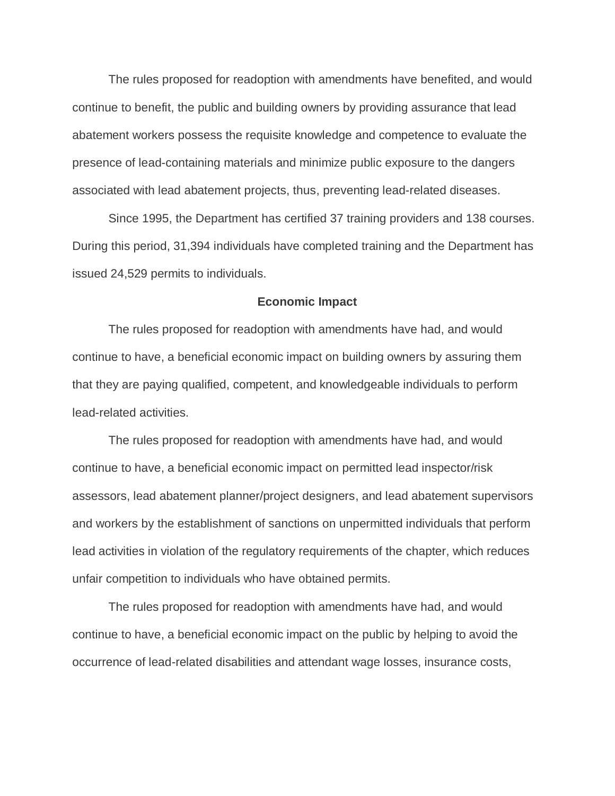The rules proposed for readoption with amendments have benefited, and would continue to benefit, the public and building owners by providing assurance that lead abatement workers possess the requisite knowledge and competence to evaluate the presence of lead-containing materials and minimize public exposure to the dangers associated with lead abatement projects, thus, preventing lead-related diseases.

Since 1995, the Department has certified 37 training providers and 138 courses. During this period, 31,394 individuals have completed training and the Department has issued 24,529 permits to individuals.

#### **Economic Impact**

The rules proposed for readoption with amendments have had, and would continue to have, a beneficial economic impact on building owners by assuring them that they are paying qualified, competent, and knowledgeable individuals to perform lead-related activities.

The rules proposed for readoption with amendments have had, and would continue to have, a beneficial economic impact on permitted lead inspector/risk assessors, lead abatement planner/project designers, and lead abatement supervisors and workers by the establishment of sanctions on unpermitted individuals that perform lead activities in violation of the regulatory requirements of the chapter, which reduces unfair competition to individuals who have obtained permits.

The rules proposed for readoption with amendments have had, and would continue to have, a beneficial economic impact on the public by helping to avoid the occurrence of lead-related disabilities and attendant wage losses, insurance costs,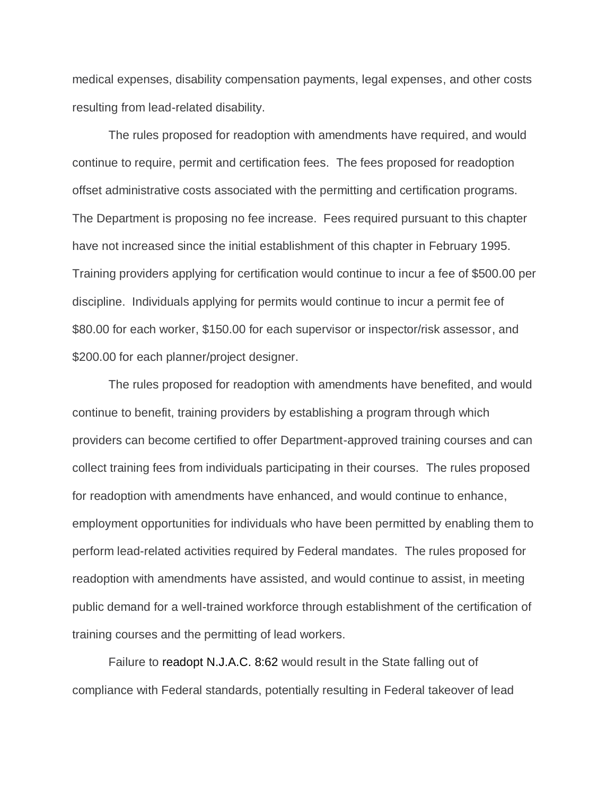medical expenses, disability compensation payments, legal expenses, and other costs resulting from lead-related disability.

The rules proposed for readoption with amendments have required, and would continue to require, permit and certification fees. The fees proposed for readoption offset administrative costs associated with the permitting and certification programs. The Department is proposing no fee increase. Fees required pursuant to this chapter have not increased since the initial establishment of this chapter in February 1995. Training providers applying for certification would continue to incur a fee of \$500.00 per discipline. Individuals applying for permits would continue to incur a permit fee of \$80.00 for each worker, \$150.00 for each supervisor or inspector/risk assessor, and \$200.00 for each planner/project designer.

The rules proposed for readoption with amendments have benefited, and would continue to benefit, training providers by establishing a program through which providers can become certified to offer Department-approved training courses and can collect training fees from individuals participating in their courses. The rules proposed for readoption with amendments have enhanced, and would continue to enhance, employment opportunities for individuals who have been permitted by enabling them to perform lead-related activities required by Federal mandates. The rules proposed for readoption with amendments have assisted, and would continue to assist, in meeting public demand for a well-trained workforce through establishment of the certification of training courses and the permitting of lead workers.

Failure to readopt N.J.A.C. 8:62 would result in the State falling out of compliance with Federal standards, potentially resulting in Federal takeover of lead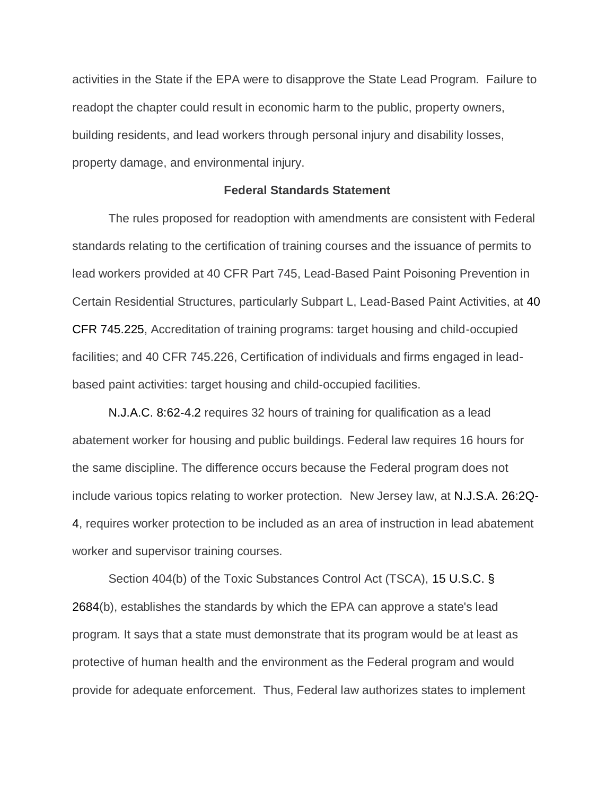activities in the State if the EPA were to disapprove the State Lead Program. Failure to readopt the chapter could result in economic harm to the public, property owners, building residents, and lead workers through personal injury and disability losses, property damage, and environmental injury.

#### **Federal Standards Statement**

The rules proposed for readoption with amendments are consistent with Federal standards relating to the certification of training courses and the issuance of permits to lead workers provided at 40 CFR Part 745, Lead-Based Paint Poisoning Prevention in Certain Residential Structures, particularly Subpart L, Lead-Based Paint Activities, at 40 CFR 745.225, Accreditation of training programs: target housing and child-occupied facilities; and 40 CFR 745.226, Certification of individuals and firms engaged in leadbased paint activities: target housing and child-occupied facilities.

N.J.A.C. 8:62-4.2 requires 32 hours of training for qualification as a lead abatement worker for housing and public buildings. Federal law requires 16 hours for the same discipline. The difference occurs because the Federal program does not include various topics relating to worker protection. New Jersey law, at N.J.S.A. 26:2Q-4, requires worker protection to be included as an area of instruction in lead abatement worker and supervisor training courses.

Section 404(b) of the Toxic Substances Control Act (TSCA), 15 U.S.C. § 2684(b), establishes the standards by which the EPA can approve a state's lead program. It says that a state must demonstrate that its program would be at least as protective of human health and the environment as the Federal program and would provide for adequate enforcement. Thus, Federal law authorizes states to implement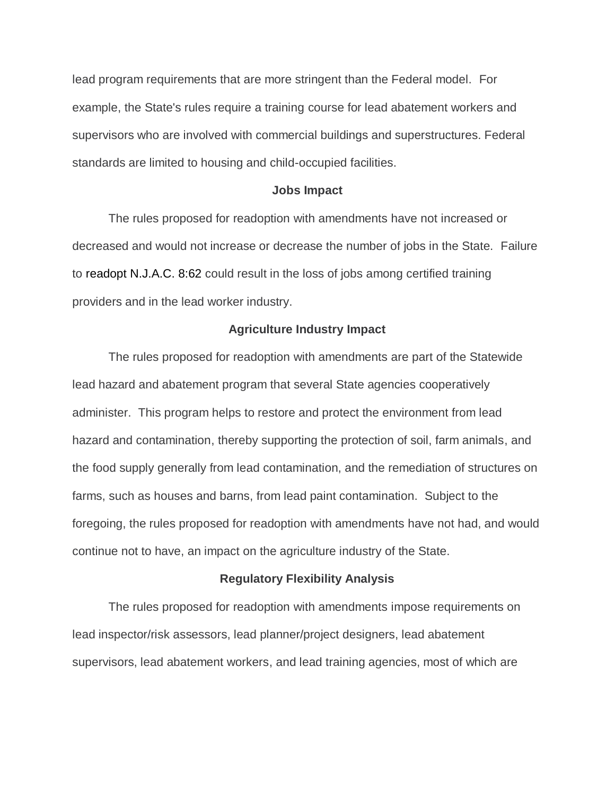lead program requirements that are more stringent than the Federal model. For example, the State's rules require a training course for lead abatement workers and supervisors who are involved with commercial buildings and superstructures. Federal standards are limited to housing and child-occupied facilities.

#### **Jobs Impact**

The rules proposed for readoption with amendments have not increased or decreased and would not increase or decrease the number of jobs in the State. Failure to readopt N.J.A.C. 8:62 could result in the loss of jobs among certified training providers and in the lead worker industry.

#### **Agriculture Industry Impact**

The rules proposed for readoption with amendments are part of the Statewide lead hazard and abatement program that several State agencies cooperatively administer. This program helps to restore and protect the environment from lead hazard and contamination, thereby supporting the protection of soil, farm animals, and the food supply generally from lead contamination, and the remediation of structures on farms, such as houses and barns, from lead paint contamination. Subject to the foregoing, the rules proposed for readoption with amendments have not had, and would continue not to have, an impact on the agriculture industry of the State.

#### **Regulatory Flexibility Analysis**

The rules proposed for readoption with amendments impose requirements on lead inspector/risk assessors, lead planner/project designers, lead abatement supervisors, lead abatement workers, and lead training agencies, most of which are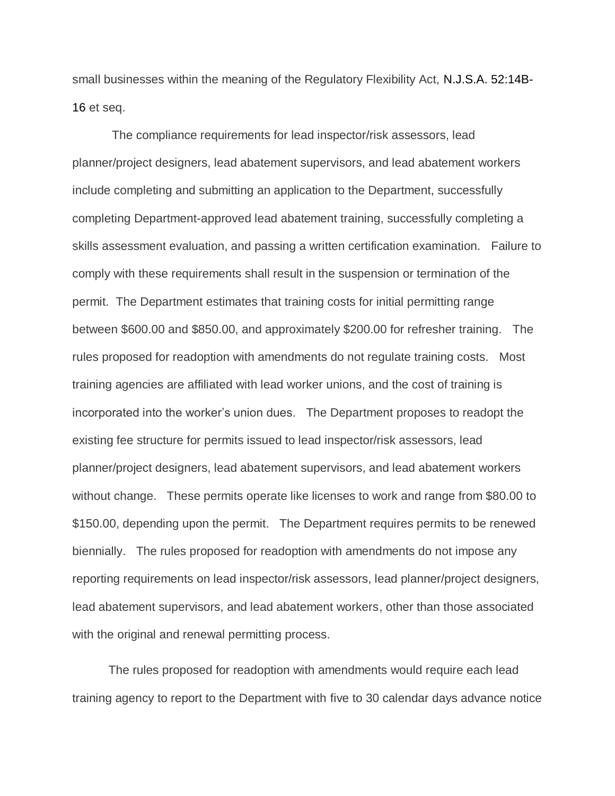small businesses within the meaning of the Regulatory Flexibility Act, N.J.S.A. 52:14B-16 et seq.

The compliance requirements for lead inspector/risk assessors, lead planner/project designers, lead abatement supervisors, and lead abatement workers include completing and submitting an application to the Department, successfully completing Department-approved lead abatement training, successfully completing a skills assessment evaluation, and passing a written certification examination. Failure to comply with these requirements shall result in the suspension or termination of the permit. The Department estimates that training costs for initial permitting range between \$600.00 and \$850.00, and approximately \$200.00 for refresher training. The rules proposed for readoption with amendments do not regulate training costs. Most training agencies are affiliated with lead worker unions, and the cost of training is incorporated into the worker's union dues. The Department proposes to readopt the existing fee structure for permits issued to lead inspector/risk assessors, lead planner/project designers, lead abatement supervisors, and lead abatement workers without change. These permits operate like licenses to work and range from \$80.00 to \$150.00, depending upon the permit. The Department requires permits to be renewed biennially. The rules proposed for readoption with amendments do not impose any reporting requirements on lead inspector/risk assessors, lead planner/project designers, lead abatement supervisors, and lead abatement workers, other than those associated with the original and renewal permitting process.

The rules proposed for readoption with amendments would require each lead training agency to report to the Department with five to 30 calendar days advance notice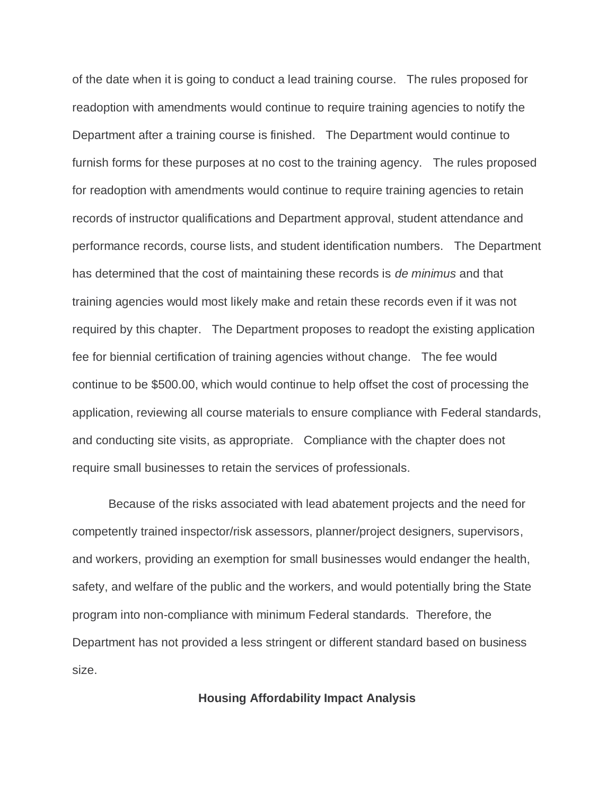of the date when it is going to conduct a lead training course. The rules proposed for readoption with amendments would continue to require training agencies to notify the Department after a training course is finished. The Department would continue to furnish forms for these purposes at no cost to the training agency. The rules proposed for readoption with amendments would continue to require training agencies to retain records of instructor qualifications and Department approval, student attendance and performance records, course lists, and student identification numbers. The Department has determined that the cost of maintaining these records is *de minimus* and that training agencies would most likely make and retain these records even if it was not required by this chapter. The Department proposes to readopt the existing application fee for biennial certification of training agencies without change. The fee would continue to be \$500.00, which would continue to help offset the cost of processing the application, reviewing all course materials to ensure compliance with Federal standards, and conducting site visits, as appropriate. Compliance with the chapter does not require small businesses to retain the services of professionals.

Because of the risks associated with lead abatement projects and the need for competently trained inspector/risk assessors, planner/project designers, supervisors, and workers, providing an exemption for small businesses would endanger the health, safety, and welfare of the public and the workers, and would potentially bring the State program into non-compliance with minimum Federal standards. Therefore, the Department has not provided a less stringent or different standard based on business size.

#### **Housing Affordability Impact Analysis**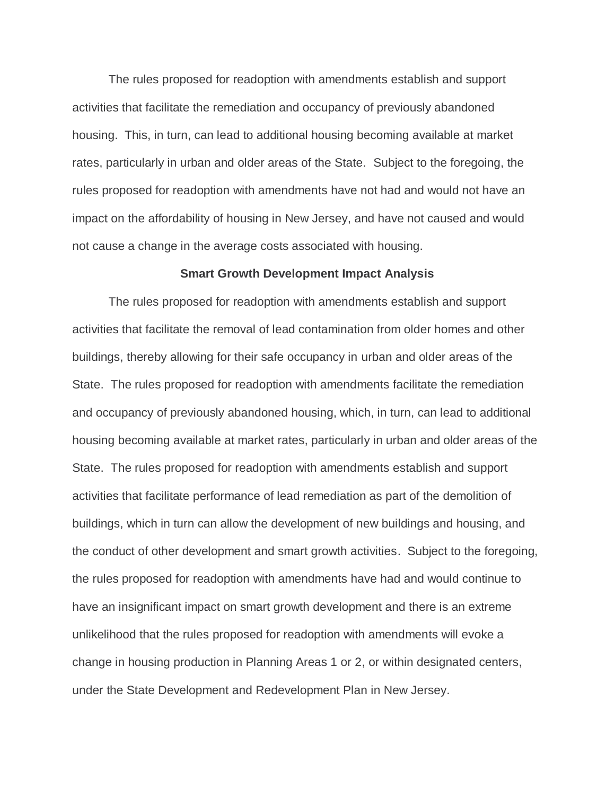The rules proposed for readoption with amendments establish and support activities that facilitate the remediation and occupancy of previously abandoned housing. This, in turn, can lead to additional housing becoming available at market rates, particularly in urban and older areas of the State. Subject to the foregoing, the rules proposed for readoption with amendments have not had and would not have an impact on the affordability of housing in New Jersey, and have not caused and would not cause a change in the average costs associated with housing.

#### **Smart Growth Development Impact Analysis**

The rules proposed for readoption with amendments establish and support activities that facilitate the removal of lead contamination from older homes and other buildings, thereby allowing for their safe occupancy in urban and older areas of the State. The rules proposed for readoption with amendments facilitate the remediation and occupancy of previously abandoned housing, which, in turn, can lead to additional housing becoming available at market rates, particularly in urban and older areas of the State. The rules proposed for readoption with amendments establish and support activities that facilitate performance of lead remediation as part of the demolition of buildings, which in turn can allow the development of new buildings and housing, and the conduct of other development and smart growth activities. Subject to the foregoing, the rules proposed for readoption with amendments have had and would continue to have an insignificant impact on smart growth development and there is an extreme unlikelihood that the rules proposed for readoption with amendments will evoke a change in housing production in Planning Areas 1 or 2, or within designated centers, under the State Development and Redevelopment Plan in New Jersey.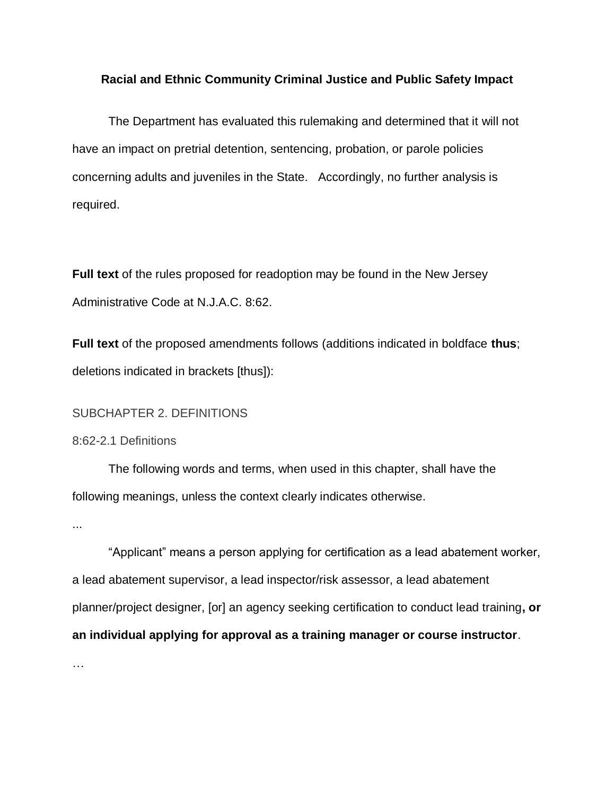### **Racial and Ethnic Community Criminal Justice and Public Safety Impact**

The Department has evaluated this rulemaking and determined that it will not have an impact on pretrial detention, sentencing, probation, or parole policies concerning adults and juveniles in the State. Accordingly, no further analysis is required.

**Full text** of the rules proposed for readoption may be found in the New Jersey Administrative Code at [N.J.A.C. 8:6](https://advance.lexis.com/document/?pdmfid=1000516&crid=0969eb5b-757c-416c-a185-d45ae0db2859&pddocfullpath=%2Fshared%2Fdocument%2Fadministrative-codes%2Furn%3AcontentItem%3A525T-2860-02CX-732B-00000-00&pddocid=urn%3AcontentItem%3A525T-2860-02CX-732B-00000-00&pdcontentcomponentid=272167&pdteaserkey=sr0&pditab=allpods&ecomp=dy_fk&earg=sr0&prid=321f6432-cf8d-42ac-8381-ff8b648555bf)2.

**Full text** of the proposed amendments follows (additions indicated in boldface **thus**; deletions indicated in brackets [thus]):

SUBCHAPTER 2. DEFINITIONS

8:62-2.1 Definitions

The following words and terms, when used in this chapter, shall have the following meanings, unless the context clearly indicates otherwise.

...

"Applicant" means a person applying for certification as a lead abatement worker, a lead abatement supervisor, a lead inspector/risk assessor, a lead abatement planner/project designer, [or] an agency seeking certification to conduct lead training**, or an individual applying for approval as a training manager or course instructor**.

…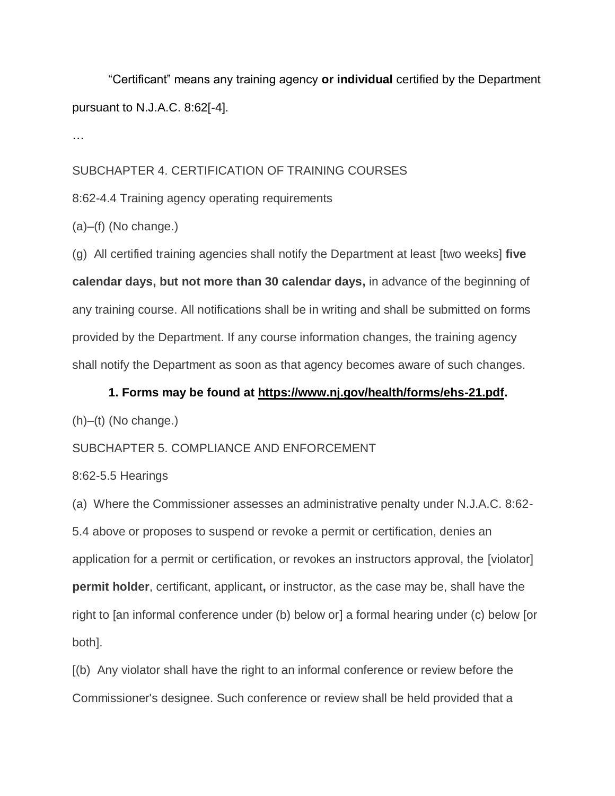"Certificant" means any training agency **or individual** certified by the Department pursuant to N.J.A.C. 8:62[-4].

…

## SUBCHAPTER 4. CERTIFICATION OF TRAINING COURSES

8:62-4.4 Training agency operating requirements

(a)–(f) (No change.)

(g) All certified training agencies shall notify the Department at least [two weeks] **five calendar days, but not more than 30 calendar days,** in advance of the beginning of any training course. All notifications shall be in writing and shall be submitted on forms provided by the Department. If any course information changes, the training agency shall notify the Department as soon as that agency becomes aware of such changes.

# **1. Forms may be found at https://www.nj.gov/health/forms/ehs-21.pdf.**

 $(h)$ –(t) (No change.)

# SUBCHAPTER 5. COMPLIANCE AND ENFORCEMENT

## 8:62-5.5 Hearings

(a) Where the Commissioner assesses an administrative penalty under N.J.A.C. 8:62- 5.4 above or proposes to suspend or revoke a permit or certification, denies an application for a permit or certification, or revokes an instructors approval, the [violator] **permit holder**, certificant, applicant**,** or instructor, as the case may be, shall have the right to [an informal conference under (b) below or] a formal hearing under (c) below [or both].

[(b) Any violator shall have the right to an informal conference or review before the Commissioner's designee. Such conference or review shall be held provided that a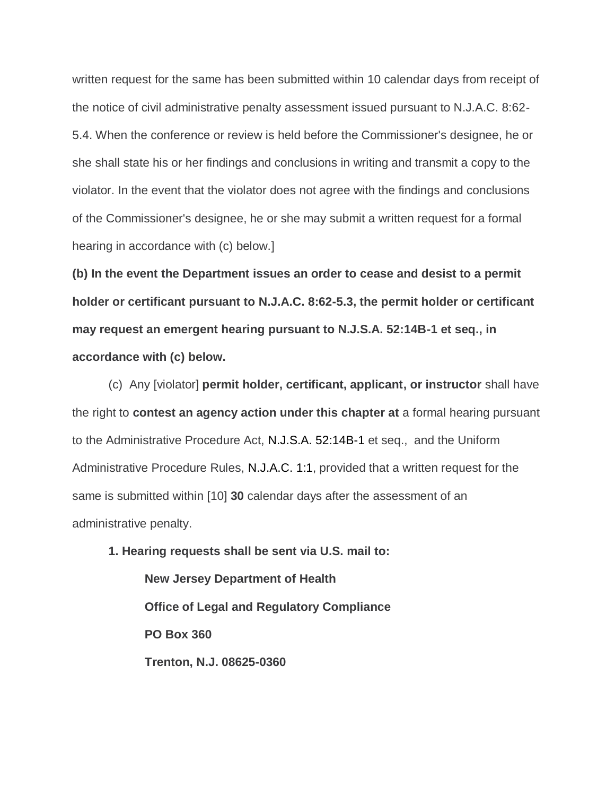written request for the same has been submitted within 10 calendar days from receipt of the notice of civil administrative penalty assessment issued pursuant to N.J.A.C. 8:62- 5.4. When the conference or review is held before the Commissioner's designee, he or she shall state his or her findings and conclusions in writing and transmit a copy to the violator. In the event that the violator does not agree with the findings and conclusions of the Commissioner's designee, he or she may submit a written request for a formal hearing in accordance with (c) below.]

**(b) In the event the Department issues an order to cease and desist to a permit holder or certificant pursuant to N.J.A.C. 8:62-5.3, the permit holder or certificant may request an emergent hearing pursuant to N.J.S.A. 52:14B-1 et seq., in accordance with (c) below.** 

(c) Any [violator] **permit holder, certificant, applicant, or instructor** shall have the right to **contest an agency action under this chapter at** a formal hearing pursuant to the Administrative Procedure Act, N.J.S.A. 52:14B-1 et seq., and the Uniform Administrative Procedure Rules, N.J.A.C. 1:1, provided that a written request for the same is submitted within [10] **30** calendar days after the assessment of an administrative penalty.

**1. Hearing requests shall be sent via U.S. mail to: New Jersey Department of Health Office of Legal and Regulatory Compliance PO Box 360 Trenton, N.J. 08625-0360**